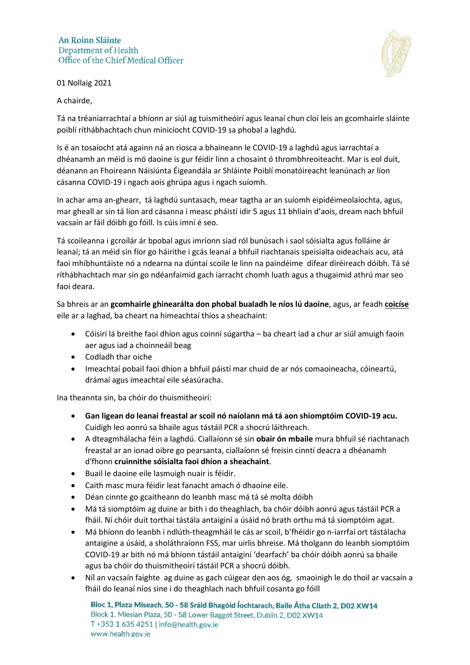## **An Roinn Sláinte** Department of Health Office of the Chief Medical Officer





## A chairde,

Tá na tréaniarrachtaí a bhíonn ar siúl ag tuismitheóirí agus leanaí chun cloí leis an gcomhairle sláinte poiblí ríthábhachtach chun minicíocht COVID-19 sa phobal a laghdú.

Is é an tosaíocht atá againn ná an riosca a bhaineann le COVID-19 a laghdú agus iarrachtaí a dhéanamh an méid is mó daoine is gur féidir linn a chosaint ó thrombhreoiteacht. Mar is eol duit, déanann an Fhoireann Náisiúnta Éigeandála ar Shláinte Poiblí monatóireacht leanúnach ar líon cásanna COVID-19 i ngach aois ghrúpa agus i ngach suíomh.

In achar ama an-ghearr, tá laghdú suntasach, mear tagtha ar an suíomh eipidéimeolaíochta, agus, mar gheall ar sin tá líon ard cásanna i measc pháistí idir 5 agus 11 bhliain d'aois, dream nach bhfuil vacsaín ar fáil dóibh go fóill. Is cúis imní é seo.

Tá scoileanna i gcroílár ár bpobal agus imríonn siad ról bunúsach i saol sóisialta agus folláine ár leanaí; tá an méid sin fíor go háirithe i gcás leanaí a bhfuil riachtanais speisialta oideachais acu, atá faoi mhíbhuntáiste nó a ndearna na dúntaí scoile le linn na paindéime difear díréireach dóibh. Tá sé ríthábhachtach mar sin go ndéanfaimid gach iarracht chomh luath agus a thugaimid athrú mar seo faoi deara.

Sa bhreis ar an **gcomhairle ghinearálta don phobal bualadh le níos lú daoine**, agus, ar feadh **coicíse** eile ar a laghad, ba cheart na himeachtaí thíos a sheachaint:

- Cóisirí lá breithe faoi dhíon agus coinní súgartha ba cheart iad a chur ar siúl amuigh faoin aer agus iad a choinneáil beag
- Codladh thar oíche
- Imeachtaí pobail faoi dhíon a bhfuil páistí mar chuid de ar nós comaoineacha, cóineartú, drámaí agus imeachtaí eile séasúracha.

Ina theannta sin, ba chóir do thuismitheoirí:

- **Gan ligean do leanaí freastal ar scoil nó naíolann má tá aon shiomptóim COVID-19 acu.** Cuidigh leo aonrú sa bhaile agus tástáil PCR a shocrú láithreach.
- A dteagmhálacha féin a laghdú. Ciallaíonn sé sin **obair ón mbaile** mura bhfuil sé riachtanach freastal ar an ionad oibre go pearsanta, ciallaíonn sé freisin cinntí deacra a dhéanamh d'fhonn **cruinnithe sóisialta faoi dhíon a sheachaint**.
- Buail le daoine eile lasmuigh nuair is féidir.
- Caith masc mura féidir leat fanacht amach ó dhaoine eile.
- Déan cinnte go gcaitheann do leanbh masc má tá sé molta dóibh
- Má tá siomptóim ag duine ar bith i do theaghlach, ba chóir dóibh aonrú agus tástáil PCR a fháil. Ní chóir duit torthaí tástála antaiginí a úsáid nó brath orthu má tá siomptóim agat.
- Má bhíonn do leanbh i ndlúth-theagmháil le cás ar scoil, b'fhéidir go n-iarrfaí ort tástálacha antaigine a úsáid, a sholáthraíonn FSS, mar uirlis bhreise. Má tholgann do leanbh siomptóim COVID-19 ar bith nó má bhíonn tástáil antaiginí 'dearfach' ba chóir dóibh aonrú sa bhaile agus ba chóir do thuismitheoirí tástáil PCR a shocrú dóibh.
- Níl an vacsaín faighte ag duine as gach cúigear den aos óg, smaoinigh le do thoil ar vacsaín a fháil do leanaí níos sine i do theaghlach nach bhfuil cosanta go fóill

Bloc 1, Plaza Míseach, 50 - 58 Sráid Bhagóid Íochtarach, Baile Átha Cliath 2, D02 XW14 Block 1, Miesian Plaza, 50 - 58 Lower Baggot Street, Dublin 2, D02 XW14 T +353 1 635 4251 | info@health.gov.ie www.health.gov.ie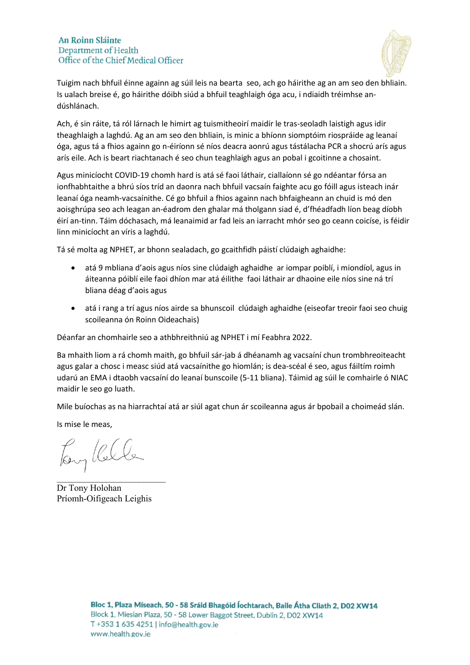# **An Roinn Sláinte** Department of Health Office of the Chief Medical Officer



Tuigim nach bhfuil éinne againn ag súil leis na bearta seo, ach go háirithe ag an am seo den bhliain. Is ualach breise é, go háirithe dóibh siúd a bhfuil teaghlaigh óga acu, i ndiaidh tréimhse andúshlánach.

Ach, é sin ráite, tá ról lárnach le himirt ag tuismitheoirí maidir le tras-seoladh laistigh agus idir theaghlaigh a laghdú. Ag an am seo den bhliain, is minic a bhíonn siomptóim riospráide ag leanaí óga, agus tá a fhios againn go n-éiríonn sé níos deacra aonrú agus tástálacha PCR a shocrú arís agus arís eile. Ach is beart riachtanach é seo chun teaghlaigh agus an pobal i gcoitinne a chosaint.

Agus minicíocht COVID-19 chomh hard is atá sé faoi láthair, ciallaíonn sé go ndéantar fórsa an ionfhabhtaithe a bhrú síos tríd an daonra nach bhfuil vacsaín faighte acu go fóill agus isteach inár leanaí óga neamh-vacsaínithe. Cé go bhfuil a fhios againn nach bhfaigheann an chuid is mó den aoisghrúpa seo ach leagan an-éadrom den ghalar má tholgann siad é, d'fhéadfadh líon beag díobh éirí an-tinn. Táim dóchasach, má leanaimid ar fad leis an iarracht mhór seo go ceann coicíse, is féidir linn minicíocht an víris a laghdú.

Tá sé molta ag NPHET, ar bhonn sealadach, go gcaithfidh páistí clúdaigh aghaidhe:

- atá 9 mbliana d'aois agus níos sine clúdaigh aghaidhe ar iompar poiblí, i miondíol, agus in áiteanna póiblí eile faoi dhíon mar atá éilithe faoi láthair ar dhaoine eile níos sine ná trí bliana déag d'aois agus
- atá i rang a trí agus níos airde sa bhunscoil clúdaigh aghaidhe (eiseofar treoir faoi seo chuig scoileanna ón Roinn Oideachais)

Déanfar an chomhairle seo a athbhreithniú ag NPHET i mí Feabhra 2022.

Ba mhaith liom a rá chomh maith, go bhfuil sár-jab á dhéanamh ag vacsaíní chun trombhreoiteacht agus galar a chosc i measc siúd atá vacsaínithe go hiomlán; is dea-scéal é seo, agus fáiltím roimh udarú an EMA i dtaobh vacsaíní do leanaí bunscoile (5-11 bliana). Táimid ag súil le comhairle ó NIAC maidir le seo go luath.

Mile buíochas as na hiarrachtaí atá ar siúl agat chun ár scoileanna agus ár bpobail a choimeád slán.

Is mise le meas,

Tony Rella

Dr Tony Holohan Príomh-Oifigeach Leighis

\_\_\_\_\_\_\_\_\_\_\_\_\_\_\_\_\_\_\_\_\_\_\_\_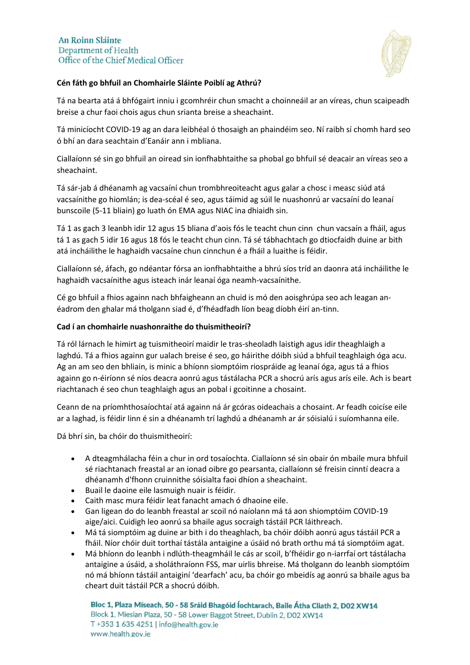

## **Cén fáth go bhfuil an Chomhairle Sláinte Poiblí ag Athrú?**

Tá na bearta atá á bhfógairt inniu i gcomhréir chun smacht a choinneáil ar an víreas, chun scaipeadh breise a chur faoi chois agus chun srianta breise a sheachaint.

Tá minicíocht COVID-19 ag an dara leibhéal ó thosaigh an phaindéim seo. Ní raibh sí chomh hard seo ó bhí an dara seachtain d'Eanáir ann i mbliana.

Ciallaíonn sé sin go bhfuil an oiread sin ionfhabhtaithe sa phobal go bhfuil sé deacair an víreas seo a sheachaint.

Tá sár-jab á dhéanamh ag vacsaíní chun trombhreoiteacht agus galar a chosc i measc siúd atá vacsaínithe go hiomlán; is dea-scéal é seo, agus táimid ag súil le nuashonrú ar vacsaíní do leanaí bunscoile (5-11 bliain) go luath ón EMA agus NIAC ina dhiaidh sin.

Tá 1 as gach 3 leanbh idir 12 agus 15 bliana d'aois fós le teacht chun cinn chun vacsaín a fháil, agus tá 1 as gach 5 idir 16 agus 18 fós le teacht chun cinn. Tá sé tábhachtach go dtiocfaidh duine ar bith atá incháilithe le haghaidh vacsaíne chun cinnchun é a fháil a luaithe is féidir.

Ciallaíonn sé, áfach, go ndéantar fórsa an ionfhabhtaithe a bhrú síos tríd an daonra atá incháilithe le haghaidh vacsaínithe agus isteach inár leanaí óga neamh-vacsaínithe.

Cé go bhfuil a fhios againn nach bhfaigheann an chuid is mó den aoisghrúpa seo ach leagan anéadrom den ghalar má tholgann siad é, d'fhéadfadh líon beag díobh éirí an-tinn.

#### **Cad í an chomhairle nuashonraithe do thuismitheoirí?**

Tá ról lárnach le himirt ag tuismitheoirí maidir le tras-sheoladh laistigh agus idir theaghlaigh a laghdú. Tá a fhios againn gur ualach breise é seo, go háirithe dóibh siúd a bhfuil teaghlaigh óga acu. Ag an am seo den bhliain, is minic a bhíonn siomptóim riospráide ag leanaí óga, agus tá a fhios againn go n-éiríonn sé níos deacra aonrú agus tástálacha PCR a shocrú arís agus arís eile. Ach is beart riachtanach é seo chun teaghlaigh agus an pobal i gcoitinne a chosaint.

Ceann de na príomhthosaíochtaí atá againn ná ár gcóras oideachais a chosaint. Ar feadh coicíse eile ar a laghad, is féidir linn é sin a dhéanamh trí laghdú a dhéanamh ar ár sóisialú i suíomhanna eile.

Dá bhrí sin, ba chóir do thuismitheoirí:

- A dteagmhálacha féin a chur in ord tosaíochta. Ciallaíonn sé sin obair ón mbaile mura bhfuil sé riachtanach freastal ar an ionad oibre go pearsanta, ciallaíonn sé freisin cinntí deacra a dhéanamh d'fhonn cruinnithe sóisialta faoi dhíon a sheachaint.
- Buail le daoine eile lasmuigh nuair is féidir.
- Caith masc mura féidir leat fanacht amach ó dhaoine eile.
- Gan ligean do do leanbh freastal ar scoil nó naíolann má tá aon shiomptóim COVID-19 aige/aici. Cuidigh leo aonrú sa bhaile agus socraigh tástáil PCR láithreach.
- Má tá siomptóim ag duine ar bith i do theaghlach, ba chóir dóibh aonrú agus tástáil PCR a fháil. Níor chóir duit torthaí tástála antaigine a úsáid nó brath orthu má tá siomptóim agat.
- Má bhíonn do leanbh i ndlúth-theagmháil le cás ar scoil, b'fhéidir go n-iarrfaí ort tástálacha antaigine a úsáid, a sholáthraíonn FSS, mar uirlis bhreise. Má tholgann do leanbh siomptóim nó má bhíonn tástáil antaiginí 'dearfach' acu, ba chóir go mbeidís ag aonrú sa bhaile agus ba cheart duit tástáil PCR a shocrú dóibh.

Bloc 1, Plaza Míseach, 50 - 58 Sráid Bhagóid Íochtarach, Baile Átha Cliath 2, D02 XW14 Block 1, Miesian Plaza, 50 - 58 Lower Baggot Street, Dublin 2, D02 XW14 T +353 1 635 4251 | info@health.gov.ie www.health.gov.ie